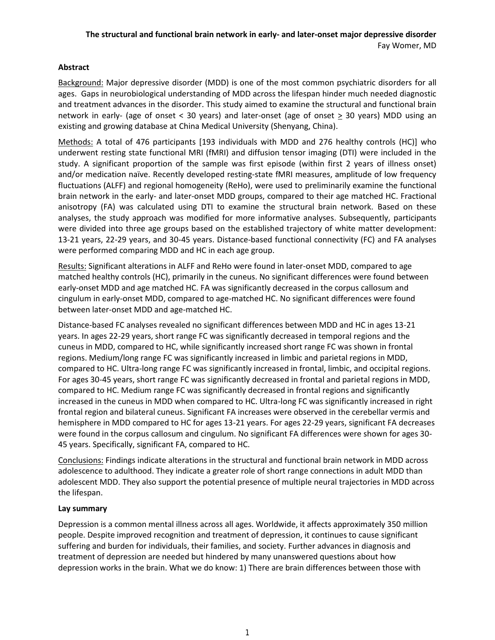# **Abstract**

Background: Major depressive disorder (MDD) is one of the most common psychiatric disorders for all ages. Gaps in neurobiological understanding of MDD across the lifespan hinder much needed diagnostic and treatment advances in the disorder. This study aimed to examine the structural and functional brain network in early- (age of onset < 30 years) and later-onset (age of onset  $\geq$  30 years) MDD using an existing and growing database at China Medical University (Shenyang, China).

Methods: A total of 476 participants [193 individuals with MDD and 276 healthy controls (HC)] who underwent resting state functional MRI (fMRI) and diffusion tensor imaging (DTI) were included in the study. A significant proportion of the sample was first episode (within first 2 years of illness onset) and/or medication naïve. Recently developed resting-state fMRI measures, amplitude of low frequency fluctuations (ALFF) and regional homogeneity (ReHo), were used to preliminarily examine the functional brain network in the early- and later-onset MDD groups, compared to their age matched HC. Fractional anisotropy (FA) was calculated using DTI to examine the structural brain network. Based on these analyses, the study approach was modified for more informative analyses. Subsequently, participants were divided into three age groups based on the established trajectory of white matter development: 13-21 years, 22-29 years, and 30-45 years. Distance-based functional connectivity (FC) and FA analyses were performed comparing MDD and HC in each age group.

Results: Significant alterations in ALFF and ReHo were found in later-onset MDD, compared to age matched healthy controls (HC), primarily in the cuneus. No significant differences were found between early-onset MDD and age matched HC. FA was significantly decreased in the corpus callosum and cingulum in early-onset MDD, compared to age-matched HC. No significant differences were found between later-onset MDD and age-matched HC.

Distance-based FC analyses revealed no significant differences between MDD and HC in ages 13-21 years. In ages 22-29 years, short range FC was significantly decreased in temporal regions and the cuneus in MDD, compared to HC, while significantly increased short range FC was shown in frontal regions. Medium/long range FC was significantly increased in limbic and parietal regions in MDD, compared to HC. Ultra-long range FC was significantly increased in frontal, limbic, and occipital regions. For ages 30-45 years, short range FC was significantly decreased in frontal and parietal regions in MDD, compared to HC. Medium range FC was significantly decreased in frontal regions and significantly increased in the cuneus in MDD when compared to HC. Ultra-long FC was significantly increased in right frontal region and bilateral cuneus. Significant FA increases were observed in the cerebellar vermis and hemisphere in MDD compared to HC for ages 13-21 years. For ages 22-29 years, significant FA decreases were found in the corpus callosum and cingulum. No significant FA differences were shown for ages 30- 45 years. Specifically, significant FA, compared to HC.

Conclusions: Findings indicate alterations in the structural and functional brain network in MDD across adolescence to adulthood. They indicate a greater role of short range connections in adult MDD than adolescent MDD. They also support the potential presence of multiple neural trajectories in MDD across the lifespan.

#### **Lay summary**

Depression is a common mental illness across all ages. Worldwide, it affects approximately 350 million people. Despite improved recognition and treatment of depression, it continues to cause significant suffering and burden for individuals, their families, and society. Further advances in diagnosis and treatment of depression are needed but hindered by many unanswered questions about how depression works in the brain. What we do know: 1) There are brain differences between those with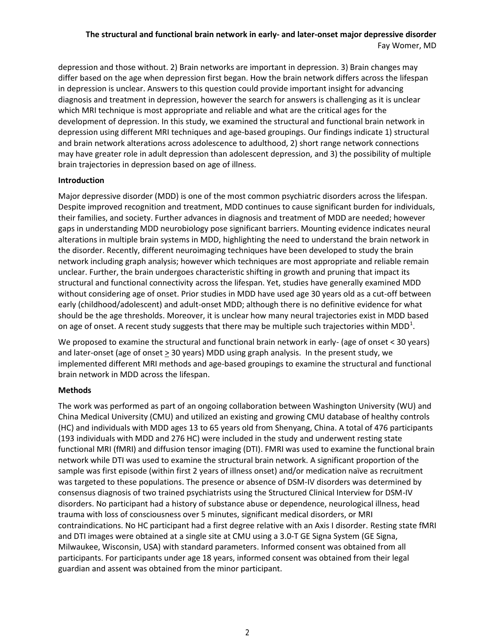depression and those without. 2) Brain networks are important in depression. 3) Brain changes may differ based on the age when depression first began. How the brain network differs across the lifespan in depression is unclear. Answers to this question could provide important insight for advancing diagnosis and treatment in depression, however the search for answers is challenging as it is unclear which MRI technique is most appropriate and reliable and what are the critical ages for the development of depression. In this study, we examined the structural and functional brain network in depression using different MRI techniques and age-based groupings. Our findings indicate 1) structural and brain network alterations across adolescence to adulthood, 2) short range network connections may have greater role in adult depression than adolescent depression, and 3) the possibility of multiple brain trajectories in depression based on age of illness.

#### **Introduction**

Major depressive disorder (MDD) is one of the most common psychiatric disorders across the lifespan. Despite improved recognition and treatment, MDD continues to cause significant burden for individuals, their families, and society. Further advances in diagnosis and treatment of MDD are needed; however gaps in understanding MDD neurobiology pose significant barriers. Mounting evidence indicates neural alterations in multiple brain systems in MDD, highlighting the need to understand the brain network in the disorder. Recently, different neuroimaging techniques have been developed to study the brain network including graph analysis; however which techniques are most appropriate and reliable remain unclear. Further, the brain undergoes characteristic shifting in growth and pruning that impact its structural and functional connectivity across the lifespan. Yet, studies have generally examined MDD without considering age of onset. Prior studies in MDD have used age 30 years old as a cut-off between early (childhood/adolescent) and adult-onset MDD; although there is no definitive evidence for what should be the age thresholds. Moreover, it is unclear how many neural trajectories exist in MDD based on age of onset. A recent study suggests that there may be multiple such trajectories within MDD<sup>1</sup>.

We proposed to examine the structural and functional brain network in early- (age of onset < 30 years) and later-onset (age of onset  $\geq$  30 years) MDD using graph analysis. In the present study, we implemented different MRI methods and age-based groupings to examine the structural and functional brain network in MDD across the lifespan.

# **Methods**

The work was performed as part of an ongoing collaboration between Washington University (WU) and China Medical University (CMU) and utilized an existing and growing CMU database of healthy controls (HC) and individuals with MDD ages 13 to 65 years old from Shenyang, China. A total of 476 participants (193 individuals with MDD and 276 HC) were included in the study and underwent resting state functional MRI (fMRI) and diffusion tensor imaging (DTI). FMRI was used to examine the functional brain network while DTI was used to examine the structural brain network. A significant proportion of the sample was first episode (within first 2 years of illness onset) and/or medication naïve as recruitment was targeted to these populations. The presence or absence of DSM-IV disorders was determined by consensus diagnosis of two trained psychiatrists using the Structured Clinical Interview for DSM-IV disorders. No participant had a history of substance abuse or dependence, neurological illness, head trauma with loss of consciousness over 5 minutes, significant medical disorders, or MRI contraindications. No HC participant had a first degree relative with an Axis I disorder. Resting state fMRI and DTI images were obtained at a single site at CMU using a 3.0-T GE Signa System (GE Signa, Milwaukee, Wisconsin, USA) with standard parameters. Informed consent was obtained from all participants. For participants under age 18 years, informed consent was obtained from their legal guardian and assent was obtained from the minor participant.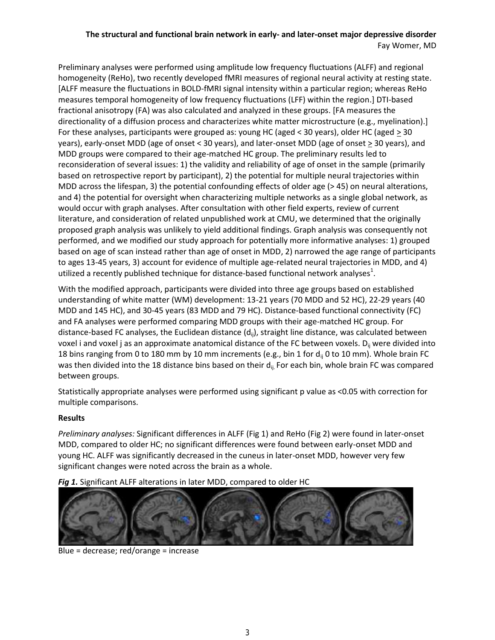Preliminary analyses were performed using amplitude low frequency fluctuations (ALFF) and regional homogeneity (ReHo), two recently developed fMRI measures of regional neural activity at resting state. [ALFF measure the fluctuations in BOLD-fMRI signal intensity within a particular region; whereas ReHo measures temporal homogeneity of low frequency fluctuations (LFF) within the region.] DTI-based fractional anisotropy (FA) was also calculated and analyzed in these groups. [FA measures the directionality of a diffusion process and characterizes white matter microstructure (e.g., myelination).] For these analyses, participants were grouped as: young HC (aged < 30 years), older HC (aged  $\geq$  30 years), early-onset MDD (age of onset < 30 years), and later-onset MDD (age of onset > 30 years), and MDD groups were compared to their age-matched HC group. The preliminary results led to reconsideration of several issues: 1) the validity and reliability of age of onset in the sample (primarily based on retrospective report by participant), 2) the potential for multiple neural trajectories within MDD across the lifespan, 3) the potential confounding effects of older age (> 45) on neural alterations, and 4) the potential for oversight when characterizing multiple networks as a single global network, as would occur with graph analyses. After consultation with other field experts, review of current literature, and consideration of related unpublished work at CMU, we determined that the originally proposed graph analysis was unlikely to yield additional findings. Graph analysis was consequently not performed, and we modified our study approach for potentially more informative analyses: 1) grouped based on age of scan instead rather than age of onset in MDD, 2) narrowed the age range of participants to ages 13-45 years, 3) account for evidence of multiple age-related neural trajectories in MDD, and 4) utilized a recently published technique for distance-based functional network analyses<sup>1</sup>.

With the modified approach, participants were divided into three age groups based on established understanding of white matter (WM) development: 13-21 years (70 MDD and 52 HC), 22-29 years (40 MDD and 145 HC), and 30-45 years (83 MDD and 79 HC). Distance-based functional connectivity (FC) and FA analyses were performed comparing MDD groups with their age-matched HC group. For distance-based FC analyses, the Euclidean distance  $(d_{ii})$ , straight line distance, was calculated between voxel i and voxel j as an approximate anatomical distance of the FC between voxels.  $D_{ii}$  were divided into 18 bins ranging from 0 to 180 mm by 10 mm increments (e.g., bin 1 for  $d_{ij}$  0 to 10 mm). Whole brain FC was then divided into the 18 distance bins based on their  $d_{ii}$ . For each bin, whole brain FC was compared between groups.

Statistically appropriate analyses were performed using significant p value as <0.05 with correction for multiple comparisons.

#### **Results**

*Preliminary analyses:* Significant differences in ALFF (Fig 1) and ReHo (Fig 2) were found in later-onset MDD, compared to older HC; no significant differences were found between early-onset MDD and young HC. ALFF was significantly decreased in the cuneus in later-onset MDD, however very few significant changes were noted across the brain as a whole.

# *Fig 1.* Significant ALFF alterations in later MDD, compared to older HC



Blue = decrease; red/orange = increase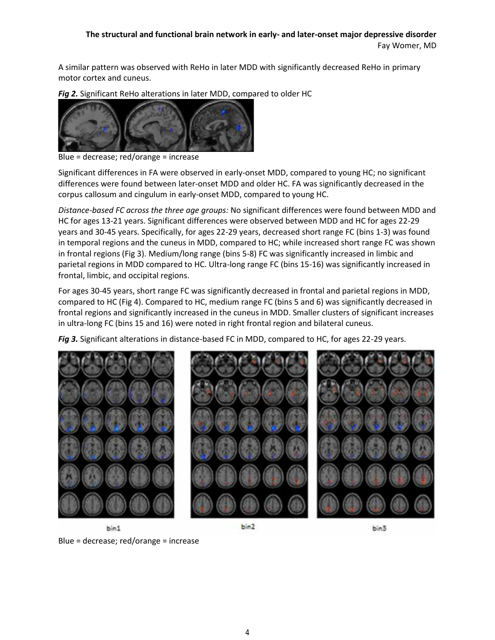A similar pattern was observed with ReHo in later MDD with significantly decreased ReHo in primary motor cortex and cuneus.

*Fig 2.* Significant ReHo alterations in later MDD, compared to older HC



Blue = decrease; red/orange = increase

Significant differences in FA were observed in early-onset MDD, compared to young HC; no significant differences were found between later-onset MDD and older HC. FA was significantly decreased in the corpus callosum and cingulum in early-onset MDD, compared to young HC.

*Distance-based FC across the three age groups:* No significant differences were found between MDD and HC for ages 13-21 years. Significant differences were observed between MDD and HC for ages 22-29 years and 30-45 years. Specifically, for ages 22-29 years, decreased short range FC (bins 1-3) was found in temporal regions and the cuneus in MDD, compared to HC; while increased short range FC was shown in frontal regions (Fig 3). Medium/long range (bins 5-8) FC was significantly increased in limbic and parietal regions in MDD compared to HC. Ultra-long range FC (bins 15-16) was significantly increased in frontal, limbic, and occipital regions.

For ages 30-45 years, short range FC was significantly decreased in frontal and parietal regions in MDD, compared to HC (Fig 4). Compared to HC, medium range FC (bins 5 and 6) was significantly decreased in frontal regions and significantly increased in the cuneus in MDD. Smaller clusters of significant increases in ultra-long FC (bins 15 and 16) were noted in right frontal region and bilateral cuneus.

*Fig 3.* Significant alterations in distance-based FC in MDD, compared to HC, for ages 22-29 years.



Blue = decrease; red/orange = increase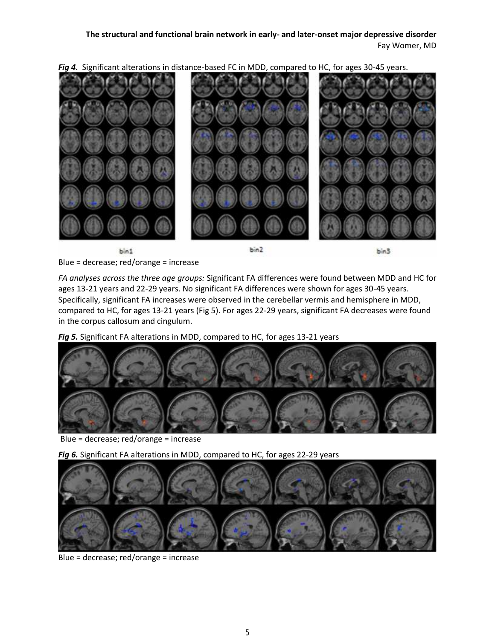*Fig 4.* Significant alterations in distance-based FC in MDD, compared to HC, for ages 30-45 years.



bin1

bin2

bin3

Blue = decrease; red/orange = increase

*FA analyses across the three age groups:* Significant FA differences were found between MDD and HC for ages 13-21 years and 22-29 years. No significant FA differences were shown for ages 30-45 years. Specifically, significant FA increases were observed in the cerebellar vermis and hemisphere in MDD, compared to HC, for ages 13-21 years (Fig 5). For ages 22-29 years, significant FA decreases were found in the corpus callosum and cingulum.

*Fig 5.* Significant FA alterations in MDD, compared to HC, for ages 13-21 years



Blue = decrease; red/orange = increase

*Fig 6.* Significant FA alterations in MDD, compared to HC, for ages 22-29 years



Blue = decrease; red/orange = increase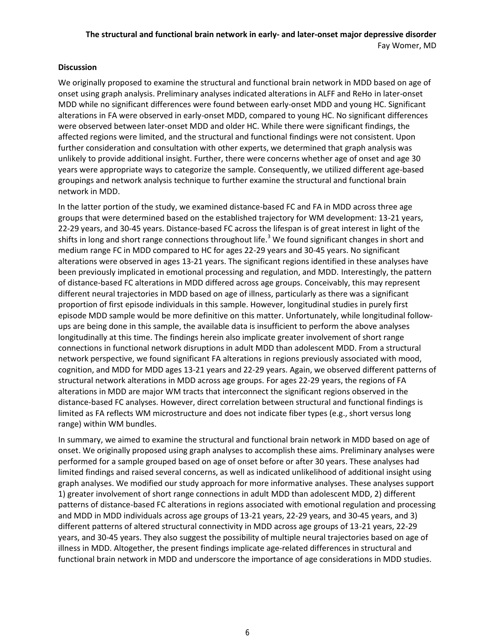#### **Discussion**

We originally proposed to examine the structural and functional brain network in MDD based on age of onset using graph analysis. Preliminary analyses indicated alterations in ALFF and ReHo in later-onset MDD while no significant differences were found between early-onset MDD and young HC. Significant alterations in FA were observed in early-onset MDD, compared to young HC. No significant differences were observed between later-onset MDD and older HC. While there were significant findings, the affected regions were limited, and the structural and functional findings were not consistent. Upon further consideration and consultation with other experts, we determined that graph analysis was unlikely to provide additional insight. Further, there were concerns whether age of onset and age 30 years were appropriate ways to categorize the sample. Consequently, we utilized different age-based groupings and network analysis technique to further examine the structural and functional brain network in MDD.

In the latter portion of the study, we examined distance-based FC and FA in MDD across three age groups that were determined based on the established trajectory for WM development: 13-21 years, 22-29 years, and 30-45 years. Distance-based FC across the lifespan is of great interest in light of the shifts in long and short range connections throughout life.<sup>3</sup> We found significant changes in short and medium range FC in MDD compared to HC for ages 22-29 years and 30-45 years. No significant alterations were observed in ages 13-21 years. The significant regions identified in these analyses have been previously implicated in emotional processing and regulation, and MDD. Interestingly, the pattern of distance-based FC alterations in MDD differed across age groups. Conceivably, this may represent different neural trajectories in MDD based on age of illness, particularly as there was a significant proportion of first episode individuals in this sample. However, longitudinal studies in purely first episode MDD sample would be more definitive on this matter. Unfortunately, while longitudinal follow ups are being done in this sample, the available data is insufficient to perform the above analyses longitudinally at this time. The findings herein also implicate greater involvement of short range connections in functional network disruptions in adult MDD than adolescent MDD. From a structural network perspective, we found significant FA alterations in regions previously associated with mood, cognition, and MDD for MDD ages 13-21 years and 22-29 years. Again, we observed different patterns of structural network alterations in MDD across age groups. For ages 22-29 years, the regions of FA alterations in MDD are major WM tracts that interconnect the significant regions observed in the distance-based FC analyses. However, direct correlation between structural and functional findings is limited as FA reflects WM microstructure and does not indicate fiber types (e.g., short versus long range) within WM bundles.

In summary, we aimed to examine the structural and functional brain network in MDD based on age of onset. We originally proposed using graph analyses to accomplish these aims. Preliminary analyses were performed for a sample grouped based on age of onset before or after 30 years. These analyses had limited findings and raised several concerns, as well as indicated unlikelihood of additional insight using graph analyses. We modified our study approach for more informative analyses. These analyses support 1) greater involvement of short range connections in adult MDD than adolescent MDD, 2) different patterns of distance-based FC alterations in regions associated with emotional regulation and processing and MDD in MDD individuals across age groups of 13-21 years, 22-29 years, and 30-45 years, and 3) different patterns of altered structural connectivity in MDD across age groups of 13-21 years, 22-29 years, and 30-45 years. They also suggest the possibility of multiple neural trajectories based on age of illness in MDD. Altogether, the present findings implicate age-related differences in structural and functional brain network in MDD and underscore the importance of age considerations in MDD studies.